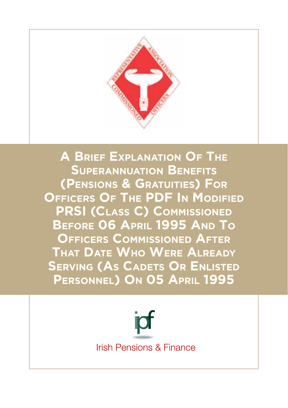

**A Brief Explanation Of The Superannuation Benefits (Pensions & Gratuities) For Officers Of The PDF In Modified PRSI (Class C) Commissioned Before 06 April 1995 And To Officers Commissioned After That Date Who Were Already Serving (As Cadets Or Enlisted Personnel) On 05 April 1995**

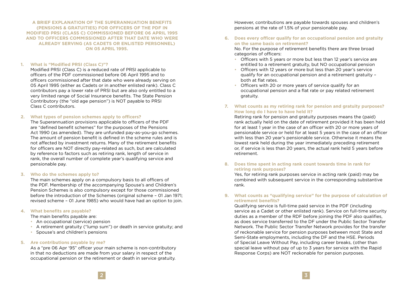**A BRIEF EXPLANATION OF THE SUPERANNUATION BENEFITS (PENSIONS & GRATUITIES) FOR OFFICERS OF THE PDF IN MODIFIED PRSI (CLASS C) COMMISSIONED BEFORE 06 APRIL 1995 AND TO OFFICERS COMMISSIONED AFTER THAT DATE WHO WERE ALREADY SERVING (AS CADETS OR ENLISTED PERSONNEL) ON 05 APRIL 1995.**

# **1. What is "Modified PRSI (Class C)"?**

Modified PRSI (Class C) is a reduced rate of PRSI applicable to officers of the PDF commissioned before 06 April 1995 and to officers commissioned after that date who were already serving on 05 April 1995 (either as Cadets or in another enlisted rank). Class C contributors pay a lower rate of PRSI but are also only entitled to a very limited range of Social Insurance benefits. The State Pension Contributory (the "old age pension") is NOT payable to PRSI Class C contributors.

#### **2. What types of pension schemes apply to officers?**

The Superannuation provisions applicable to officers of the PDF are "defined benefit schemes" for the purposes of the Pensions Act 1990 (as amended). They are unfunded pay-as-you-go schemes. The amount of pension benefit is defined in the scheme rules and is not affected by investment returns. Many of the retirement benefits for officers are NOT directly pay-related as such, but are calculated by reference to factors such as retiring rank, length of service in rank, the overall number of complete year's qualifying service and pensionable pay.

# **3. Who do the schemes apply to?**

The main schemes apply on a compulsory basis to all officers of the PDF. Membership of the accompanying Spouse's and Children's Pension Schemes is also compulsory except for those commissioned before the introduction of the Schemes (original scheme – 01 Jan 1971; revised scheme – 01 June 1985) who would have had an option to join.

#### **4. What benefits are payable?**

The main benefits payable are:

- An occupational (service) pension
- A retirement gratuity ("lump sum") or death in service gratuity; and
- Spouse's and children's pensions

# **5. Are contributions payable by me?**

As a "pre 06 Apr '95" officer your main scheme is non-contributory in that no deductions are made from your salary in respect of the occupational pension or the retirement or death in service gratuity.

However, contributions are payable towards spouses and children's pensions at the rate of 1.5% of your pensionable pay.

# **6. Does every officer qualify for an occupational pension and gratuity on the same basis on retirement?**

No. For the purpose of retirement benefits there are three broad categories of officers:

- Officers with 5 years or more but less than 12 year's service are entitled to a retirement gratuity, but NO occupational pension
- Officers with 12 years or more but less than 20 year's service qualify for an occupational pension and a retirement gratuity – both at flat rates.
- Officers with 20 or more years of service qualify for an occupational pension and a flat rate or pay related retirement gratuity.
- **7. What counts as my retiring rank for pension and gratuity purposes? How long do I have to have held it?**

Retiring rank for pension and gratuity purposes means the (paid) rank actually held on the date of retirement provided it has been held for at least 1 year in the case of an officer with 20 or more years of pensionable service or held for at least 5 years in the case of an officer with less than 20 year's pensionable service. Otherwise it means the lowest rank held during the year immediately preceding retirement or, if service is less than 20 years, the actual rank held 5 years before retirement.

**8. Does time spent in acting rank count towards time in rank for retiring rank purposes?**

Yes, for retiring rank purposes service in acting rank (paid) may be combined with subsequent service in the corresponding substantive rank.

# **9. What counts as "qualifying service" for the purpose of calculation of retirement benefits?**

Qualifying service is full-time paid service in the PDF (including service as a Cadet or other enlisted rank). Service on full-time security duties as a member of the RDF before joining the PDF also qualifies, as does service transferred to the DF under the Public Sector Transfer Network. The Public Sector Transfer Network provides for the transfer of reckonable service for pension purposes between most State and Semi-State employments, including the DF and the HSE. Periods of Special Leave Without Pay, including career breaks, (other than special leave without pay of up to 3 years for service with the Rapid Response Corps) are NOT reckonable for pension purposes.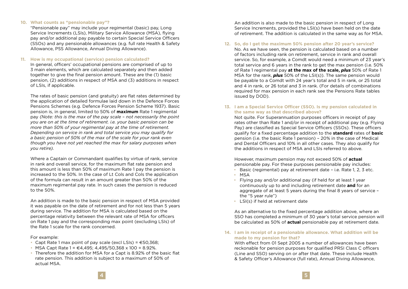# **10. What counts as "pensionable pay"?**

"Pensionable pay" may include your regimental (basic) pay, Long Service Increments (LSIs), Military Service Allowance (MSA), flying pay and/or additional pay payable to certain Special Service Officers (SSOs) and any pensionable allowances (e.g. full rate Health & Safety Allowance, PSS Allowance, Annual Diving Allowance).

# **11. How is my occupational (service) pension calculated?**

In general, officers' occupational pensions are comprised of up to 3 main elements, which are calculated separately and then added together to give the final pension amount. These are the (1) basic pension, (2) additions in respect of MSA and (3) additions in respect of LSIs, if applicable.

The rates of basic pension (and gratuity) are flat rates determined by the application of detailed formulae laid down in the Defence Forces Pensions Schemes (e.g. Defence Forces Pension Scheme 1937). Basic pension is, in general, limited to 50% of **maximum** Rate 1 regimental pay *(Note: this is the max of the pay scale – not necessarily the point you are on at the time of retirement. i.e. your basic pension can be more than 50% of your regimental pay at the time of retirement. Depending on service in rank and total service you may qualify for a basic pension of 50% of the max of the scale for your rank even though you have not yet reached the max for salary purposes when you retire).* 

Where a Captain or Commandant qualifies by virtue of rank, service in rank and overall service, for the maximum flat rate pension and this amount is less than 50% of maximum Rate 1 pay the pension is increased to the 50%. In the case of Lt Cols and Cols the application of the formula can result in an amount greater than 50% of the maximum regimental pay rate. In such cases the pension is reduced to the 50%.

An addition is made to the basic pension in respect of MSA provided it was payable on the date of retirement and for not less than 5 years during service. The addition for MSA is calculated based on the percentage relativity between the relevant rate of MSA for officers on Rate 1 pay and the corresponding max point (excluding LSIs) of the Rate 1 scale for the rank concerned.

#### For example:

- Capt Rate 1 max point of pay scale (excl LSIs) =  $\epsilon$ 50.368;
- MSA Capt Rate 1 =  $\in$  4.495; 4.495/50.368 x 100 = 8.92%.
- Therefore the addition for MSA for a Capt is 8.92% of the basic flat rate pension. This addition is subject to a maximum of 50% of actual MSA.

An addition is also made to the basic pension in respect of Long Service Increments, provided the LSI(s) have been held on the date of retirement. The addition is calculated in the same way as for MSA.

# **12. So, do I get the maximum 50% pension after 20 year's service?**

No. As we have seen, the pension is calculated based on a number of factors including rank on retirement, service in rank and overall service. So, for example, a Comdt would need a minimum of 23 year's total service and 6 years in the rank to get the max pension (i.e. 50% of Rate 1 regimental pay **at the max of the scale,** *plus* 50% of Rate 1 MSA for the rank, *plus* 50% of the LSI(s)). The same pension would be payable to a Comdt with 24 year's total and 5 in rank, or 25 total and 4 in rank, or 26 total and 3 in rank. (For details of combinations required for max pension in each rank see the Pensions Rate tables issued by DOD).

# **13. I am a Special Service Officer (SSO). Is my pension calculated in the same way as that described above?**

Not quite. For Superannuation purposes officers in receipt of pay rates other than Rate 1 and/or in receipt of additional pay (e.g. Flying Pay) are classified as Special Service Officers (SSOs). These officers qualify for a fixed percentage addition to the **standard** rates of **basic** pension (i.e. the basic Rate 1 pension) – 20% in the case of Medical and Dental Officers and 10% in all other cases. They also qualify for the additions in respect of MSA and LSIs referred to above.

However, maximum pension may not exceed 50% of **actual** pensionable pay. For these purposes pensionable pay includes:

- Basic (regimental) pay at retirement date i.e. Rate 1, 2, 3 etc.
- MSA
- Flying pay and/or additional pay (if held for at least 1 year continuously up to and including retirement date **and** for an aggregate of at least 5 years during the final 8 years of service – the "5 year rule")
- LSI(s) if held at retirement date

As an alternative to the fixed percentage addition above, where an SSO has completed a minimum of 30 year's total service pension will be calculated as 50% of **actual** pensionable pay at retirement date.

**14. I am in receipt of a pensionable allowance. What addition will be made to my pension for that?** 

With effect from 01 Sept 2005 a number of allowances have been reckonable for pension purposes for qualified PRSI Class C officers (Line and SSO) serving on or after that date. These include Health & Safety Officer's Allowance (full rate), Annual Diving Allowance,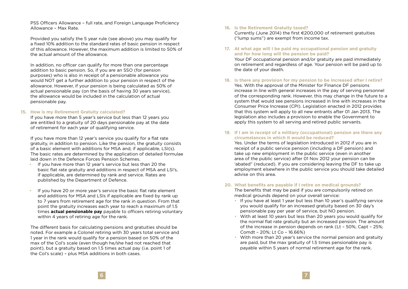PSS Officers Allowance – full rate, and Foreign Language Proficiency Allowance – Max Rate.

Provided you satisfy the 5 year rule (see above) you may qualify for a fixed 10% addition to the standard rates of basic pension in respect of this allowance. However, the maximum addition is limited to 50% of the actual amount of the allowance.

In addition, no officer can qualify for more than one percentage addition to basic pension. So, if you are an SSO (for pension purposes) who is also in receipt of a pensionable allowance you would NOT get a further addition to your pension in respect of the allowance. However, if your pension is being calculated as 50% of actual pensionable pay (on the basis of having 30 years service), the allowance would be included in the calculation of actual pensionable pay.

# **15. How is my Retirement Gratuity calculated?**

If you have more than 5 year's service but less than 12 years you are entitled to a gratuity of 20 days pensionable pay at the date of retirement for each year of qualifying service.

If you have more than 12 year's service you qualify for a flat rate gratuity, in addition to pension. Like the pension, the gratuity consists of a basic element with additions for MSA and, if applicable, LSI(s). The basic rates are determined by the application of detailed formulae laid down in the Defence Forces Pension Schemes.

- If you have more than 12 year's service but less than 20 the basic flat rate gratuity and additions in respect of MSA and LSI's, if applicable, are determined by rank and service. Rates are published by the Department of Defence.
- If you have 20 or more year's service the basic flat rate element and additions for MSA and LSIs if applicable are fixed by rank up to 7 years from retirement age for the rank in question. From that point the gratuity increases each year to reach a maximum of 1.5 times **actual pensionable pay** payable to officers retiring voluntary within 4 years of retiring age for the rank.

The different basis for calculating pensions and gratuities should be noted. For example a Colonel retiring with 30 years total service and 1 year in the rank would qualify for a pension based on 50% of the max of the Col's scale (even though he/she had not reached that point), but a gratuity based on 1.5 times actual pay (i.e. point 1 of the Col's scale) – plus MSA additions in both cases.

#### **16. Is the Retirement Gratuity taxed?**

Currently (June 2014) the first €200,000 of retirement gratuities ("lump sums") are exempt from income tax.

**17. At what age will I be paid my occupational pension and gratuity and for how long will the pension be paid?**

Your DF occupational pension and/or gratuity are paid immediately on retirement and regardless of age. Your pension will be paid up to the date of your death.

- **18. Is there any provision for my pension to be increased after I retire?** Yes. With the approval of the Minister for Finance DF pensions increase in line with general increases in the pay of serving personnel of the corresponding rank. However, this may change in the future to a system that would see pensions increased in line with increases in the Consumer Price Increase (CPI). Legislation enacted in 2012 provides that this system will apply to all new entrants after 01 Jan 2013. The legislation also includes a provision to enable the Government to apply this system to all serving and retired public servants.
- **19. If I am in receipt of a military (occupational) pension are there any circumstances in which it would be reduced?**

Yes. Under the terms of legislation introduced in 2012 if you are in receipt of a public service pension (including a DF pension) and take up new employment in the public service (even in another area of the public service) after 01 Nov 2012 your pension can be 'abated" (reduced). If you are considering leaving the DF to take up employment elsewhere in the public service you should take detailed advise on this area.

# **20. What benefits are payable if I retire on medical grounds?**

The benefits that may be paid if you are compulsorily retired on medical grounds depend on your overall service:

- If you have at least 1 year but less than 10 year's qualifying service you would qualify for an increased gratuity based on 30 day's pensionable pay per year of service, but NO pension.
- With at least 10 years but less than 20 years you would qualify for the normal flat rate gratuity but an increased pension. The amount of the increase in pension depends on rank (Lt – 50%; Capt – 25%; Comdt – 20%; Lt Co – 16.66%)
- With more than 20 year's service the normal pension and gratuity are paid, but the max gratuity of 1.5 times pensionable pay is payable within 5 years of normal retirement age for the rank.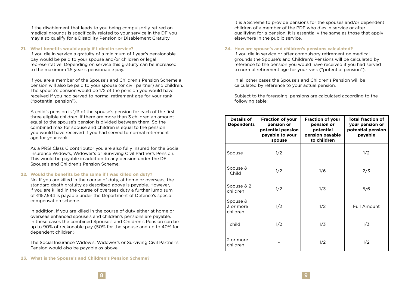If the disablement that leads to you being compulsorily retired on medical grounds is specifically related to your service in the DF you may also qualify for a Disability Pension or Disablement Gratuity.

#### **21. What benefits would apply if I died in service?**

If you die in service a gratuity of a minimum of 1 year's pensionable pay would be paid to your spouse and/or children or legal representative. Depending on service this gratuity can be increased to the maximum 1.5 year's pensionable pay.

If you are a member of the Spouse's and Children's Pension Scheme a pension will also be paid to your spouse (or civil partner) and children. The spouse's pension would be 1/2 of the pension you would have received if you had served to normal retirement age for your rank ("potential pension").

A child's pension is 1/3 of the spouse's pension for each of the first three eligible children. If there are more than 3 children an amount equal to the spouse's pension is divided between them. So the combined max for spouse and children is equal to the pension you would have received if you had served to normal retirement age for your rank.

As a PRSI Class C contributor you are also fully insured for the Social Insurance Widow's, Widower's or Surviving Civil Partner's Pension. This would be payable in addition to any pension under the DF Spouse's and Children's Pension Scheme.

# **22. Would the benefits be the same if I was killed on duty?**

No. If you are killed in the course of duty, at home or overseas, the standard death gratuity as described above is payable. However, if you are killed in the course of overseas duty a further lump sum of €157,594 is payable under the Department of Defence's special compensation scheme.

In addition, if you are killed in the course of duty either at home or overseas enhanced spouse's and children's pensions are payable. In these cases the combined Spouse's and Children's Pension can be up to 90% of reckonable pay (50% for the spouse and up to 40% for dependent children).

The Social Insurance Widow's, Widower's or Surviving Civil Partner's Pension would also be payable as above.

**23. What is the Spouse's and Children's Pension Scheme?**

It is a Scheme to provide pensions for the spouses and/or dependent children of a member of the PDF who dies in service or after qualifying for a pension. It is essentially the same as those that apply elsewhere in the public service.

# **24. How are spouse's and children's pensions calculated?**

If you die in service or after compulsory retirement on medical grounds the Spouse's and Children's Pensions will be calculated by reference to the pension you would have received if you had served to normal retirement age for your rank ("potential pension").

In all other cases the Spouse's and Children's Pension will be calculated by reference to your actual pension.

Subject to the foregoing, pensions are calculated according to the following table:

| <b>Details of</b><br><b>Dependents</b> | <b>Fraction of your</b><br>pension or<br>potential pension<br>payable to your<br>spouse | <b>Fraction of your</b><br>pension or<br>potential<br>pension payable<br>to children | <b>Total fraction of</b><br>your pension or<br>potential pension<br>payable |
|----------------------------------------|-----------------------------------------------------------------------------------------|--------------------------------------------------------------------------------------|-----------------------------------------------------------------------------|
| Spouse                                 | 1/2                                                                                     |                                                                                      | 1/2                                                                         |
| Spouse &<br>1 Child                    | 1/2                                                                                     | 1/6                                                                                  | 2/3                                                                         |
| Spouse & 2<br>children                 | 1/2                                                                                     | 1/3                                                                                  | 5/6                                                                         |
| Spouse &<br>3 or more<br>children      | 1/2                                                                                     | 1/2                                                                                  | Full Amount                                                                 |
| 1 child                                | 1/2                                                                                     | 1/3                                                                                  | 1/3                                                                         |
| 2 or more<br>children                  |                                                                                         | 1/2                                                                                  | 1/2                                                                         |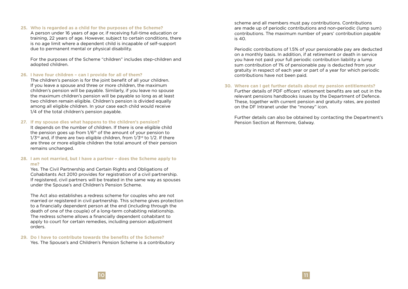#### **25. Who is regarded as a child for the purposes of the Scheme?**

A person under 16 years of age or, if receiving full-time education or training, 22 years of age. However, subject to certain conditions, there is no age limit where a dependent child is incapable of self-support due to permanent mental or physical disability.

For the purposes of the Scheme "children" includes step-children and adopted children.

#### **26. I have four children – can I provide for all of them?**

The children's pension is for the joint benefit of all your children. If you leave a spouse and three or more children, the maximum children's pension will be payable. Similarly, if you leave no spouse the maximum children's pension will be payable so long as at least two children remain eligible. Children's pension is divided equally among all eligible children. In your case each child would receive 1/4 of the total children's pension payable.

#### **27. If my spouse dies what happens to the children's pension?**

It depends on the number of children. If there is one eligible child the pension goes up from  $1/6<sup>th</sup>$  of the amount of your pension to  $1/3$ <sup>rd</sup> and, if there are two eligible children, from  $1/3$ <sup>rd</sup> to  $1/2$ . If there are three or more eligible children the total amount of their pension remains unchanged.

# **28. I am not married, but I have a partner – does the Scheme apply to me?**

Yes. The Civil Partnership and Certain Rights and Obligations of Cohabitants Act 2010 provides for registration of a civil partnership. If registered, civil partners will be treated in the same way as spouses under the Spouse's and Children's Pension Scheme.

The Act also establishes a redress scheme for couples who are not married or registered in civil partnership. This scheme gives protection to a financially dependent person at the end (including through the death of one of the couple) of a long-term cohabiting relationship. The redress scheme allows a financially dependent cohabitant to apply to court for certain remedies, including pension adjustment orders.

# **29. Do I have to contribute towards the benefits of the Scheme?**

Yes. The Spouse's and Children's Pension Scheme is a contributory

scheme and all members must pay contributions. Contributions are made up of periodic contributions and non-periodic (lump sum) contributions. The maximum number of years' contribution payable is 40.

Periodic contributions of 1.5% of your pensionable pay are deducted on a monthly basis. In addition, if at retirement or death in service you have not paid your full periodic contribution liability a lump sum contribution of 1% of pensionable pay is deducted from your gratuity in respect of each year or part of a year for which periodic contributions have not been paid.

# **30. Where can I get further details about my pension entitlements?**

Further details of PDF officers' retirement benefits are set out in the relevant pensions handbooks issues by the Department of Defence. These, together with current pension and gratuity rates, are posted on the DF Intranet under the "money" icon.

Further details can also be obtained by contacting the Department's Pension Section at Renmore, Galway.